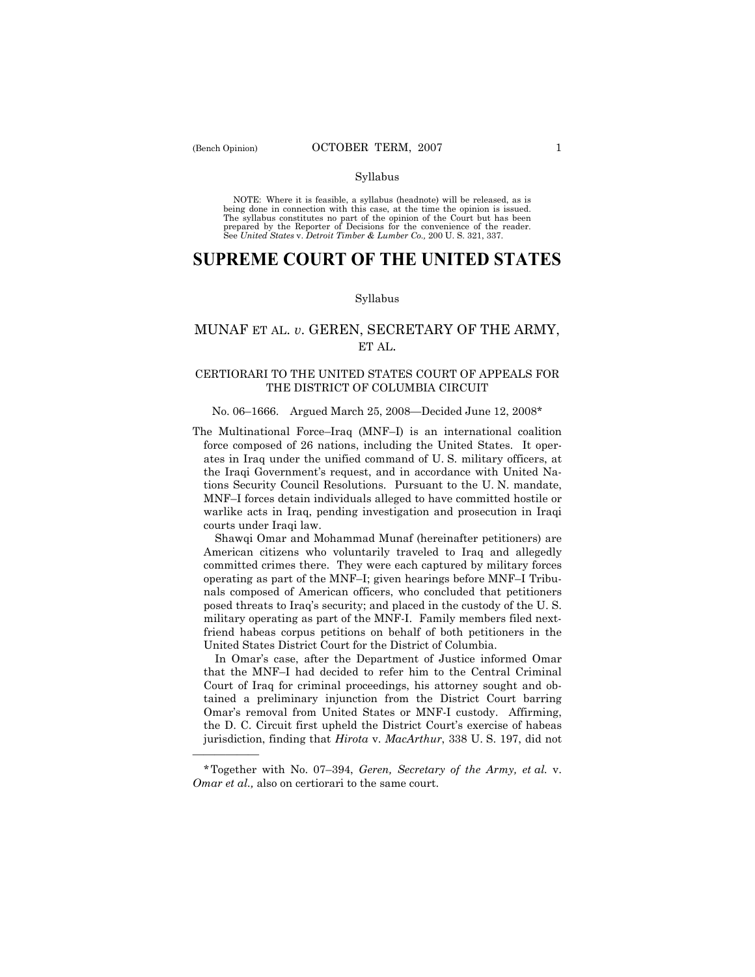——————

# Syllabus

NOTE: Where it is feasible, a syllabus (headnote) will be released, as is being done in connection with this case, at the time the opinion is issued. The syllabus constitutes no part of the opinion of the Court but has been<br>prepared by the Reporter of Decisions for the convenience of the reader.<br>See United States v. Detroit Timber & Lumber Co., 200 U. S. 321, 337.

# **SUPREME COURT OF THE UNITED STATES**

### Syllabus

# MUNAF ET AL. *v*. GEREN, SECRETARY OF THE ARMY, ET AL.

# CERTIORARI TO THE UNITED STATES COURT OF APPEALS FOR THE DISTRICT OF COLUMBIA CIRCUIT

# No. 06–1666. Argued March 25, 2008—Decided June 12, 2008\*

The Multinational Force–Iraq (MNF–I) is an international coalition force composed of 26 nations, including the United States. It operates in Iraq under the unified command of U. S. military officers, at the Iraqi Government's request, and in accordance with United Nations Security Council Resolutions. Pursuant to the U. N. mandate, MNF–I forces detain individuals alleged to have committed hostile or warlike acts in Iraq, pending investigation and prosecution in Iraqi courts under Iraqi law.

 Shawqi Omar and Mohammad Munaf (hereinafter petitioners) are American citizens who voluntarily traveled to Iraq and allegedly committed crimes there. They were each captured by military forces operating as part of the MNF–I; given hearings before MNF–I Tribunals composed of American officers, who concluded that petitioners posed threats to Iraq's security; and placed in the custody of the U. S. military operating as part of the MNF-I. Family members filed nextfriend habeas corpus petitions on behalf of both petitioners in the United States District Court for the District of Columbia.

 In Omar's case, after the Department of Justice informed Omar that the MNF–I had decided to refer him to the Central Criminal Court of Iraq for criminal proceedings, his attorney sought and obtained a preliminary injunction from the District Court barring Omar's removal from United States or MNF-I custody. Affirming, the D. C. Circuit first upheld the District Court's exercise of habeas jurisdiction, finding that *Hirota* v. *MacArthur*, 338 U. S. 197, did not

<sup>\*</sup>Together with No. 07–394, *Geren, Secretary of the Army, et al.* v. *Omar et al.,* also on certiorari to the same court.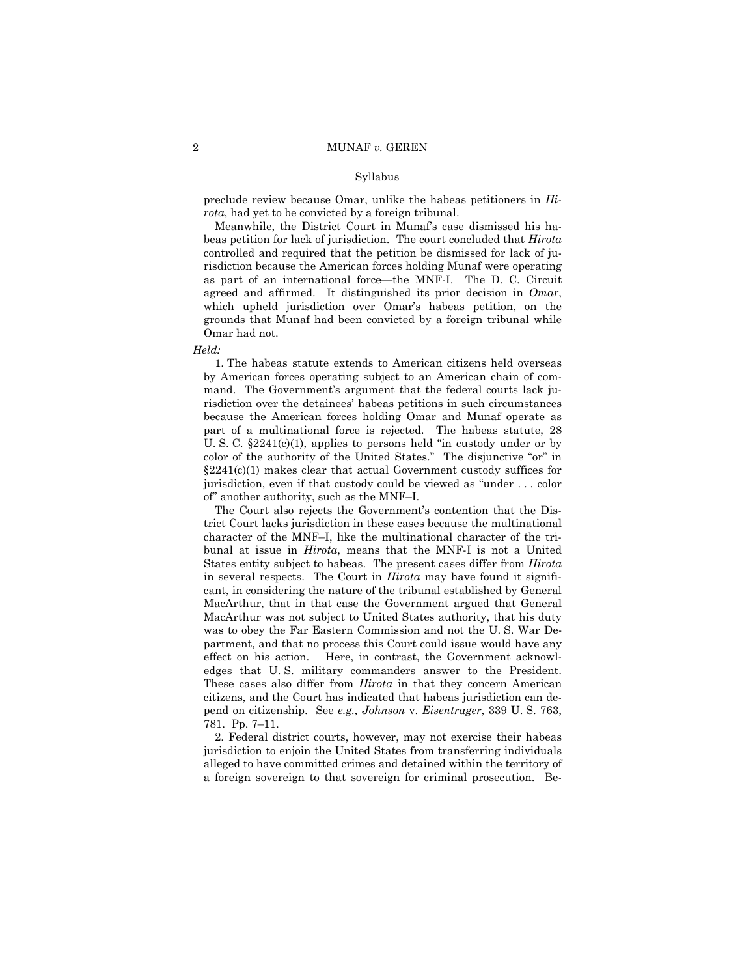preclude review because Omar, unlike the habeas petitioners in *Hirota*, had yet to be convicted by a foreign tribunal.

 Meanwhile, the District Court in Munaf's case dismissed his habeas petition for lack of jurisdiction. The court concluded that *Hirota* controlled and required that the petition be dismissed for lack of jurisdiction because the American forces holding Munaf were operating as part of an international force—the MNF-I. The D. C. Circuit agreed and affirmed. It distinguished its prior decision in *Omar*, which upheld jurisdiction over Omar's habeas petition, on the grounds that Munaf had been convicted by a foreign tribunal while Omar had not.

*Held:* 

 1. The habeas statute extends to American citizens held overseas by American forces operating subject to an American chain of command. The Government's argument that the federal courts lack jurisdiction over the detainees' habeas petitions in such circumstances because the American forces holding Omar and Munaf operate as part of a multinational force is rejected. The habeas statute, 28 U. S. C.  $\S 2241(c)(1)$ , applies to persons held "in custody under or by color of the authority of the United States." The disjunctive "or" in §2241(c)(1) makes clear that actual Government custody suffices for jurisdiction, even if that custody could be viewed as "under . . . color of" another authority, such as the MNF–I.

 The Court also rejects the Government's contention that the District Court lacks jurisdiction in these cases because the multinational character of the MNF–I, like the multinational character of the tribunal at issue in *Hirota*, means that the MNF-I is not a United States entity subject to habeas. The present cases differ from *Hirota*  in several respects. The Court in *Hirota* may have found it significant, in considering the nature of the tribunal established by General MacArthur, that in that case the Government argued that General MacArthur was not subject to United States authority, that his duty was to obey the Far Eastern Commission and not the U. S. War Department, and that no process this Court could issue would have any effect on his action. Here, in contrast, the Government acknowledges that U. S. military commanders answer to the President. These cases also differ from *Hirota* in that they concern American citizens, and the Court has indicated that habeas jurisdiction can depend on citizenship. See *e.g., Johnson* v. *Eisentrager*, 339 U. S. 763, 781. Pp. 7–11.

 2. Federal district courts, however, may not exercise their habeas jurisdiction to enjoin the United States from transferring individuals alleged to have committed crimes and detained within the territory of a foreign sovereign to that sovereign for criminal prosecution. Be-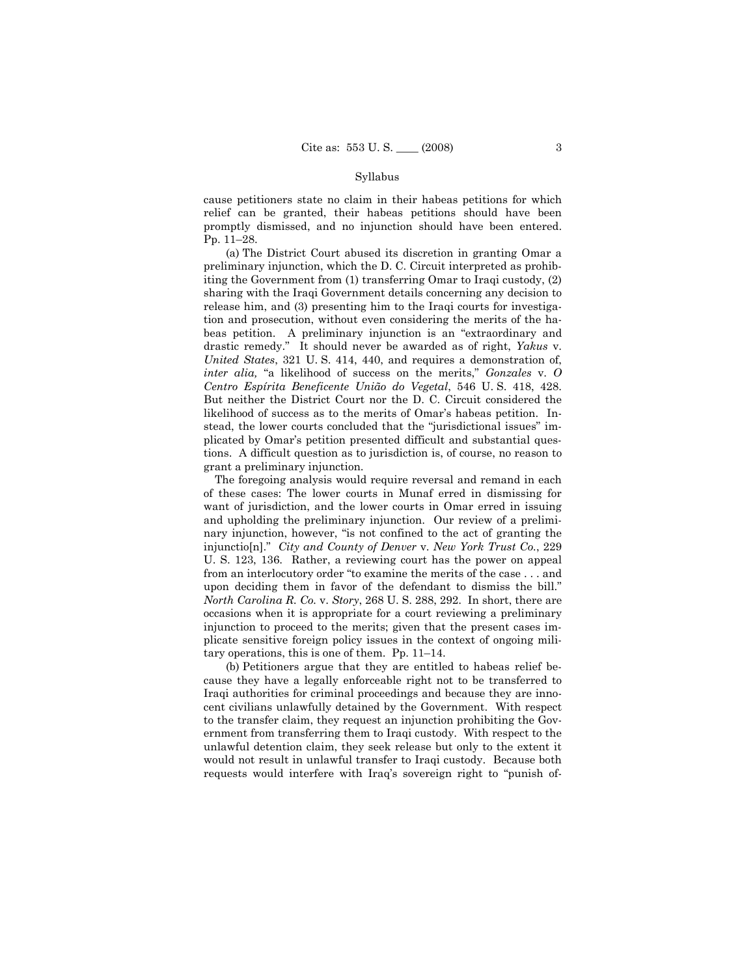cause petitioners state no claim in their habeas petitions for which relief can be granted, their habeas petitions should have been promptly dismissed, and no injunction should have been entered. Pp. 11–28.

 (a) The District Court abused its discretion in granting Omar a preliminary injunction, which the D. C. Circuit interpreted as prohibiting the Government from (1) transferring Omar to Iraqi custody, (2) sharing with the Iraqi Government details concerning any decision to release him, and (3) presenting him to the Iraqi courts for investigation and prosecution, without even considering the merits of the habeas petition. A preliminary injunction is an "extraordinary and drastic remedy." It should never be awarded as of right, *Yakus* v. *United States*, 321 U. S. 414, 440, and requires a demonstration of, *inter alia,* "a likelihood of success on the merits," *Gonzales* v. *O Centro Espírita Beneficente União do Vegetal*, 546 U. S. 418, 428. But neither the District Court nor the D. C. Circuit considered the likelihood of success as to the merits of Omar's habeas petition. Instead, the lower courts concluded that the "jurisdictional issues" implicated by Omar's petition presented difficult and substantial questions. A difficult question as to jurisdiction is, of course, no reason to grant a preliminary injunction.

 The foregoing analysis would require reversal and remand in each of these cases: The lower courts in Munaf erred in dismissing for want of jurisdiction, and the lower courts in Omar erred in issuing and upholding the preliminary injunction. Our review of a preliminary injunction, however, "is not confined to the act of granting the injunctio[n]." *City and County of Denver* v. *New York Trust Co.*, 229 U. S. 123, 136. Rather, a reviewing court has the power on appeal from an interlocutory order "to examine the merits of the case . . . and upon deciding them in favor of the defendant to dismiss the bill." *North Carolina R. Co.* v. *Story*, 268 U. S. 288, 292. In short, there are occasions when it is appropriate for a court reviewing a preliminary injunction to proceed to the merits; given that the present cases implicate sensitive foreign policy issues in the context of ongoing military operations, this is one of them. Pp. 11–14.

 (b) Petitioners argue that they are entitled to habeas relief because they have a legally enforceable right not to be transferred to Iraqi authorities for criminal proceedings and because they are innocent civilians unlawfully detained by the Government. With respect to the transfer claim, they request an injunction prohibiting the Government from transferring them to Iraqi custody. With respect to the unlawful detention claim, they seek release but only to the extent it would not result in unlawful transfer to Iraqi custody. Because both requests would interfere with Iraq's sovereign right to "punish of-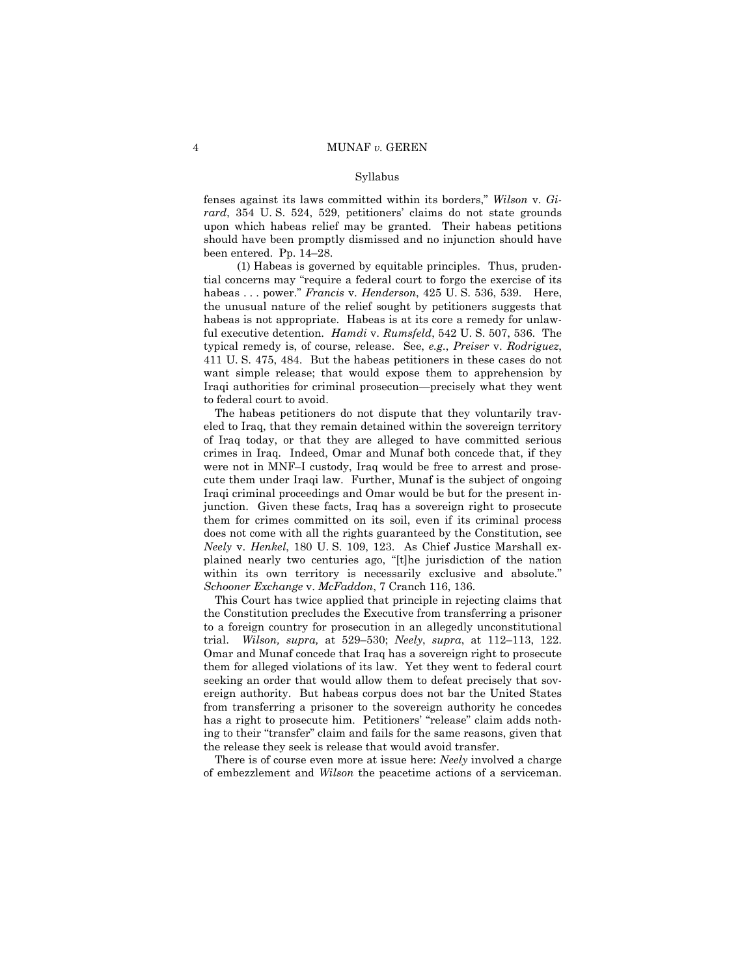fenses against its laws committed within its borders," *Wilson* v. *Girard*, 354 U. S. 524, 529, petitioners' claims do not state grounds upon which habeas relief may be granted. Their habeas petitions should have been promptly dismissed and no injunction should have been entered. Pp. 14–28.

 (1) Habeas is governed by equitable principles. Thus, prudential concerns may "require a federal court to forgo the exercise of its habeas . . . power." *Francis* v. *Henderson*, 425 U. S. 536, 539. Here, the unusual nature of the relief sought by petitioners suggests that habeas is not appropriate. Habeas is at its core a remedy for unlawful executive detention. *Hamdi* v. *Rumsfeld*, 542 U. S. 507, 536. The typical remedy is, of course, release. See, *e.g.*, *Preiser* v. *Rodriguez*, 411 U. S. 475, 484. But the habeas petitioners in these cases do not want simple release; that would expose them to apprehension by Iraqi authorities for criminal prosecution—precisely what they went to federal court to avoid.

 The habeas petitioners do not dispute that they voluntarily traveled to Iraq, that they remain detained within the sovereign territory of Iraq today, or that they are alleged to have committed serious crimes in Iraq. Indeed, Omar and Munaf both concede that, if they were not in MNF–I custody, Iraq would be free to arrest and prosecute them under Iraqi law. Further, Munaf is the subject of ongoing Iraqi criminal proceedings and Omar would be but for the present injunction. Given these facts, Iraq has a sovereign right to prosecute them for crimes committed on its soil, even if its criminal process does not come with all the rights guaranteed by the Constitution, see *Neely* v. *Henkel*, 180 U. S. 109, 123. As Chief Justice Marshall explained nearly two centuries ago, "[t]he jurisdiction of the nation within its own territory is necessarily exclusive and absolute." *Schooner Exchange* v. *McFaddon*, 7 Cranch 116, 136.

 This Court has twice applied that principle in rejecting claims that the Constitution precludes the Executive from transferring a prisoner to a foreign country for prosecution in an allegedly unconstitutional trial. *Wilson, supra,* at 529–530; *Neely*, *supra*, at 112–113, 122. Omar and Munaf concede that Iraq has a sovereign right to prosecute them for alleged violations of its law. Yet they went to federal court seeking an order that would allow them to defeat precisely that sovereign authority. But habeas corpus does not bar the United States from transferring a prisoner to the sovereign authority he concedes has a right to prosecute him. Petitioners' "release" claim adds nothing to their "transfer" claim and fails for the same reasons, given that the release they seek is release that would avoid transfer.

 There is of course even more at issue here: *Neely* involved a charge of embezzlement and *Wilson* the peacetime actions of a serviceman.